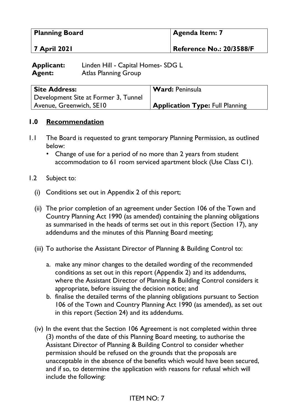| <b>Planning Board</b> | Agenda Item: 7                  |
|-----------------------|---------------------------------|
| <b>7 April 2021</b>   | <b>Reference No.: 20/3588/F</b> |

| <b>Applicant:</b> | Linden Hill - Capital Homes- SDG L |
|-------------------|------------------------------------|
| <b>Agent:</b>     | <b>Atlas Planning Group</b>        |

| <b>Site Address:</b>                 | <b>Ward:</b> Peninsula                 |
|--------------------------------------|----------------------------------------|
| Development Site at Former 3, Tunnel |                                        |
| Avenue, Greenwich, SE10              | <b>Application Type: Full Planning</b> |

### **1.0 Recommendation**

- 1.1 The Board is requested to grant temporary Planning Permission, as outlined below:
	- Change of use for a period of no more than 2 years from student accommodation to 61 room serviced apartment block (Use Class C1).
- 1.2 Subject to:
	- (i) Conditions set out in Appendix 2 of this report;
	- (ii) The prior completion of an agreement under Section 106 of the Town and Country Planning Act 1990 (as amended) containing the planning obligations as summarised in the heads of terms set out in this report (Section 17), any addendums and the minutes of this Planning Board meeting;
	- (iii) To authorise the Assistant Director of Planning & Building Control to:
		- a. make any minor changes to the detailed wording of the recommended conditions as set out in this report (Appendix 2) and its addendums, where the Assistant Director of Planning & Building Control considers it appropriate, before issuing the decision notice; and
		- b. finalise the detailed terms of the planning obligations pursuant to Section 106 of the Town and Country Planning Act 1990 (as amended), as set out in this report (Section 24) and its addendums.
	- (iv) In the event that the Section 106 Agreement is not completed within three (3) months of the date of this Planning Board meeting, to authorise the Assistant Director of Planning & Building Control to consider whether permission should be refused on the grounds that the proposals are unacceptable in the absence of the benefits which would have been secured, and if so, to determine the application with reasons for refusal which will include the following: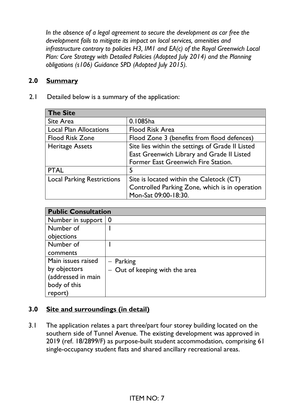*In the absence of a legal agreement to secure the development as car free the development fails to mitigate its impact on local services, amenities and infrastructure contrary to policies H3, IM1 and EA(c) of the Royal Greenwich Local Plan: Core Strategy with Detailed Policies (Adopted July 2014) and the Planning obligations (s106) Guidance SPD (Adopted July 2015).*

### **2.0 Summary**

2.1 Detailed below is a summary of the application:

| <b>The Site</b>                   |                                                  |
|-----------------------------------|--------------------------------------------------|
| Site Area                         | 0.1085ha                                         |
| <b>Local Plan Allocations</b>     | <b>Flood Risk Area</b>                           |
| <b>Flood Risk Zone</b>            | Flood Zone 3 (benefits from flood defences)      |
| <b>Heritage Assets</b>            | Site lies within the settings of Grade II Listed |
|                                   | East Greenwich Library and Grade II Listed       |
|                                   | Former East Greenwich Fire Station.              |
| <b>PTAL</b>                       | 5                                                |
| <b>Local Parking Restrictions</b> | Site is located within the Caletock (CT)         |
|                                   | Controlled Parking Zone, which is in operation   |
|                                   | Mon-Sat 09:00-18:30.                             |

| <b>Public Consultation</b> |                                  |
|----------------------------|----------------------------------|
| Number in support   0      |                                  |
| Number of                  |                                  |
| objections                 |                                  |
| Number of                  |                                  |
| comments                   |                                  |
| Main issues raised         | $-$ Parking                      |
| by objectors               | $-$ Out of keeping with the area |
| (addressed in main         |                                  |
| body of this               |                                  |
| report)                    |                                  |

#### **3.0 Site and surroundings (in detail)**

3.1 The application relates a part three/part four storey building located on the southern side of Tunnel Avenue. The existing development was approved in 2019 (ref. 18/2899/F) as purpose-built student accommodation, comprising 61 single-occupancy student flats and shared ancillary recreational areas.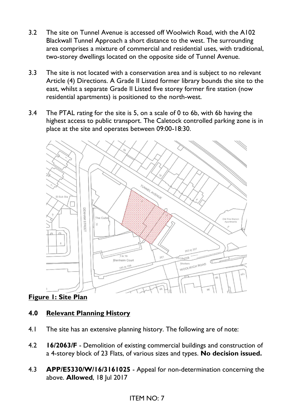- 3.2 The site on Tunnel Avenue is accessed off Woolwich Road, with the A102 Blackwall Tunnel Approach a short distance to the west. The surrounding area comprises a mixture of commercial and residential uses, with traditional, two-storey dwellings located on the opposite side of Tunnel Avenue.
- 3.3 The site is not located with a conservation area and is subject to no relevant Article (4) Directions. A Grade II Listed former library bounds the site to the east, whilst a separate Grade II Listed five storey former fire station (now residential apartments) is positioned to the north-west.
- 3.4 The PTAL rating for the site is 5, on a scale of 0 to 6b, with 6b having the highest access to public transport. The Caletock controlled parking zone is in place at the site and operates between 09:00-18:30.



# **Figure 1: Site Plan**

# **4.0 Relevant Planning History**

- 4.1 The site has an extensive planning history. The following are of note:
- 4.2 **16/2063/F** Demolition of existing commercial buildings and construction of a 4-storey block of 23 Flats, of various sizes and types. **No decision issued.**
- 4.3 **APP/E5330/W/16/3161025** Appeal for non-determination concerning the above. **Allowed**, 18 Jul 2017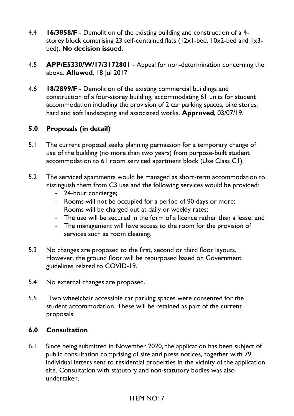- 4.4 **16/3858/F** Demolition of the existing building and construction of a 4 storey block comprising 23 self-contained flats (12x1-bed, 10x2-bed and 1x3 bed). **No decision issued.**
- 4.5 **APP/E5330/W/17/3172801** Appeal for non-determination concerning the above. **Allowed**, 18 Jul 2017
- 4.6 **18/2899/F** Demolition of the existing commercial buildings and construction of a four-storey building, accommodating 61 units for student accommodation including the provision of 2 car parking spaces, bike stores, hard and soft landscaping and associated works. **Approved**, 03/07/19.

# **5.0 Proposals (in detail)**

- 5.1 The current proposal seeks planning permission for a temporary change of use of the building (no more than two years) from purpose-built student accommodation to 61 room serviced apartment block (Use Class C1).
- 5.2 The serviced apartments would be managed as short-term accommodation to distinguish them from C3 use and the following services would be provided:
	- 24-hour concierge;
	- Rooms will not be occupied for a period of 90 days or more;
	- Rooms will be charged out at daily or weekly rates;
	- The use will be secured in the form of a licence rather than a lease; and
	- The management will have access to the room for the provision of services such as room cleaning.
- 5.3 No changes are proposed to the first, second or third floor layouts. However, the ground floor will be repurposed based on Government guidelines related to COVID-19.
- 5.4 No external changes are proposed.
- 5.5 Two wheelchair accessible car parking spaces were consented for the student accommodation. These will be retained as part of the current proposals.

## **6.0 Consultation**

6.1 Since being submitted in November 2020, the application has been subject of public consultation comprising of site and press notices, together with 79 individual letters sent to residential properties in the vicinity of the application site. Consultation with statutory and non-statutory bodies was also undertaken.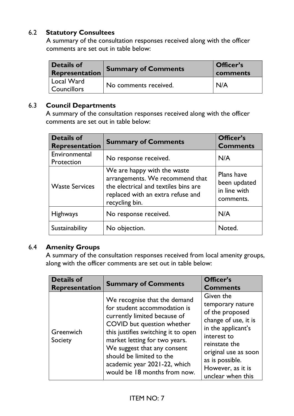## 6.2 **Statutory Consultees**

A summary of the consultation responses received along with the officer comments are set out in table below:

| <b>Details of</b><br>Representation    | <b>Summary of Comments</b> | Officer's<br>comments |
|----------------------------------------|----------------------------|-----------------------|
| Local Ward<br><sup>1</sup> Councillors | No comments received.      | N/A                   |

#### 6.3 **Council Departments**

A summary of the consultation responses received along with the officer comments are set out in table below:

| <b>Details of</b><br><b>Representation</b> | <b>Summary of Comments</b>                                                                                                                                    | Officer's<br><b>Comments</b>                            |
|--------------------------------------------|---------------------------------------------------------------------------------------------------------------------------------------------------------------|---------------------------------------------------------|
| Environmental<br>Protection                | No response received.                                                                                                                                         | N/A                                                     |
| <b>Waste Services</b>                      | We are happy with the waste<br>arrangements. We recommend that<br>the electrical and textiles bins are<br>replaced with an extra refuse and<br>recycling bin. | Plans have<br>been updated<br>in line with<br>comments. |
| <b>Highways</b>                            | No response received.                                                                                                                                         | N/A                                                     |
| Sustainability                             | No objection.                                                                                                                                                 | Noted.                                                  |

## 6.4 **Amenity Groups**

A summary of the consultation responses received from local amenity groups, along with the officer comments are set out in table below:

| <b>Details of</b><br>Representation | <b>Summary of Comments</b>                                                                                                                                                                                                                                                                                                    | Officer's<br><b>Comments</b>                                                                                                                                                                                        |
|-------------------------------------|-------------------------------------------------------------------------------------------------------------------------------------------------------------------------------------------------------------------------------------------------------------------------------------------------------------------------------|---------------------------------------------------------------------------------------------------------------------------------------------------------------------------------------------------------------------|
| Greenwich<br>Society                | We recognise that the demand<br>for student accommodation is<br>currently limited because of<br>COVID but question whether<br>this justifies switching it to open<br>market letting for two years.<br>We suggest that any consent<br>should be limited to the<br>academic year 2021-22, which<br>would be 18 months from now. | Given the<br>temporary nature<br>of the proposed<br>change of use, it is<br>in the applicant's<br>interest to<br>reinstate the<br>original use as soon<br>as is possible.<br>However, as it is<br>unclear when this |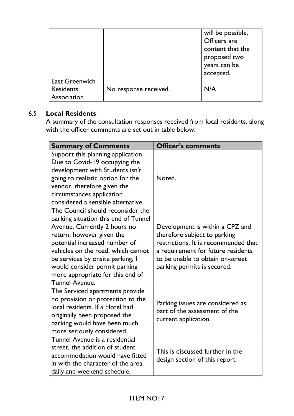|                                                          |                       | will be possible,<br>Officers are<br>content that the<br>proposed two<br>years can be<br>accepted. |
|----------------------------------------------------------|-----------------------|----------------------------------------------------------------------------------------------------|
| <b>East Greenwich</b><br><b>Residents</b><br>Association | No response received. | N/A                                                                                                |

# 6.5 **Local Residents**

A summary of the consultation responses received from local residents, along with the officer comments are set out in table below:

| <b>Summary of Comments</b>                                                                                                                                                                                                                                                                                                                      | <b>Officer's comments</b>                                                                                                                                                                                        |
|-------------------------------------------------------------------------------------------------------------------------------------------------------------------------------------------------------------------------------------------------------------------------------------------------------------------------------------------------|------------------------------------------------------------------------------------------------------------------------------------------------------------------------------------------------------------------|
| Support this planning application.<br>Due to Covid-19 occupying the<br>development with Students isn't<br>going to realistic option for the<br>vendor, therefore given the<br>circumstances application<br>considered a sensible alternative.                                                                                                   | Noted.                                                                                                                                                                                                           |
| The Council should reconsider the<br>parking situation this end of Tunnel<br>Avenue. Currently 2 hours no<br>return, however given the<br>potential increased number of<br>vehicles on the road, which cannot<br>be services by onsite parking, I<br>would consider permit parking<br>more appropriate for this end of<br><b>Tunnel Avenue.</b> | Development is within a CPZ and<br>therefore subject to parking<br>restrictions. It is recommended that<br>a requirement for future residents<br>to be unable to obtain on-street<br>parking permits is secured. |
| The Serviced apartments provide<br>no provision or protection to the<br>local residents. If a Hotel had<br>originally been proposed the<br>parking would have been much<br>more seriously considered.                                                                                                                                           | Parking issues are considered as<br>part of the assessment of the<br>current application.                                                                                                                        |
| Tunnel Avenue is a residential<br>street, the addition of student<br>accommodation would have fitted<br>in with the character of the area.<br>daily and weekend schedule.                                                                                                                                                                       | This is discussed further in the<br>design section of this report.                                                                                                                                               |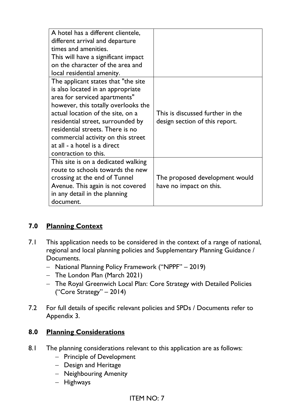| A hotel has a different clientele,   |                                  |
|--------------------------------------|----------------------------------|
| different arrival and departure      |                                  |
| times and amenities.                 |                                  |
| This will have a significant impact  |                                  |
| on the character of the area and     |                                  |
| local residential amenity.           |                                  |
| The applicant states that "the site" |                                  |
| is also located in an appropriate    |                                  |
| area for serviced apartments"        |                                  |
| however, this totally overlooks the  |                                  |
| actual location of the site, on a    | This is discussed further in the |
| residential street, surrounded by    | design section of this report.   |
| residential streets. There is no     |                                  |
| commercial activity on this street   |                                  |
| at all - a hotel is a direct         |                                  |
| contraction to this.                 |                                  |
| This site is on a dedicated walking  |                                  |
| route to schools towards the new     |                                  |
| crossing at the end of Tunnel        | The proposed development would   |
| Avenue. This again is not covered    | have no impact on this.          |
| in any detail in the planning        |                                  |
| document.                            |                                  |

# **7.0 Planning Context**

- 7.1 This application needs to be considered in the context of a range of national, regional and local planning policies and Supplementary Planning Guidance / Documents.
	- − National Planning Policy Framework ("NPPF" 2019)
	- − The London Plan (March 2021)
	- − The Royal Greenwich Local Plan: Core Strategy with Detailed Policies ("Core Strategy" – 2014)
- 7.2 For full details of specific relevant policies and SPDs / Documents refer to Appendix 3.

# **8.0 Planning Considerations**

- 8.1 The planning considerations relevant to this application are as follows:
	- − Principle of Development
	- − Design and Heritage
	- − Neighbouring Amenity
	- − Highways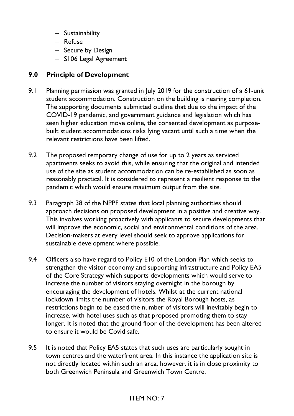- − Sustainability
- − Refuse
- − Secure by Design
- − S106 Legal Agreement

# **9.0 Principle of Development**

- 9.1 Planning permission was granted in July 2019 for the construction of a 61-unit student accommodation. Construction on the building is nearing completion. The supporting documents submitted outline that due to the impact of the COVID-19 pandemic, and government guidance and legislation which has seen higher education move online, the consented development as purposebuilt student accommodations risks lying vacant until such a time when the relevant restrictions have been lifted.
- 9.2 The proposed temporary change of use for up to 2 years as serviced apartments seeks to avoid this, while ensuring that the original and intended use of the site as student accommodation can be re-established as soon as reasonably practical. It is considered to represent a resilient response to the pandemic which would ensure maximum output from the site.
- 9.3 Paragraph 38 of the NPPF states that local planning authorities should approach decisions on proposed development in a positive and creative way. This involves working proactively with applicants to secure developments that will improve the economic, social and environmental conditions of the area. Decision-makers at every level should seek to approve applications for sustainable development where possible.
- 9.4 Officers also have regard to Policy E10 of the London Plan which seeks to strengthen the visitor economy and supporting infrastructure and Policy EA5 of the Core Strategy which supports developments which would serve to increase the number of visitors staying overnight in the borough by encouraging the development of hotels. Whilst at the current national lockdown limits the number of visitors the Royal Borough hosts, as restrictions begin to be eased the number of visitors will inevitably begin to increase, with hotel uses such as that proposed promoting them to stay longer. It is noted that the ground floor of the development has been altered to ensure it would be Covid safe.
- 9.5 It is noted that Policy EA5 states that such uses are particularly sought in town centres and the waterfront area. In this instance the application site is not directly located within such an area, however, it is in close proximity to both Greenwich Peninsula and Greenwich Town Centre.

# ITEM NO: 7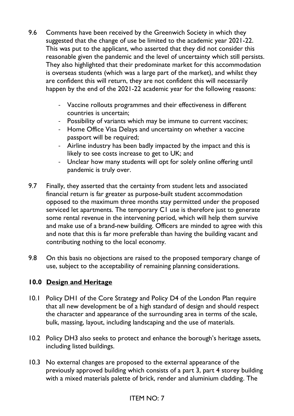- 9.6 Comments have been received by the Greenwich Society in which they suggested that the change of use be limited to the academic year 2021-22. This was put to the applicant, who asserted that they did not consider this reasonable given the pandemic and the level of uncertainty which still persists. They also highlighted that their predominate market for this accommodation is overseas students (which was a large part of the market), and whilst they are confident this will return, they are not confident this will necessarily happen by the end of the 2021-22 academic year for the following reasons:
	- Vaccine rollouts programmes and their effectiveness in different countries is uncertain;
	- Possibility of variants which may be immune to current vaccines;
	- Home Office Visa Delays and uncertainty on whether a vaccine passport will be required;
	- Airline industry has been badly impacted by the impact and this is likely to see costs increase to get to UK; and
	- Unclear how many students will opt for solely online offering until pandemic is truly over.
- 9.7 Finally, they asserted that the certainty from student lets and associated financial return is far greater as purpose-built student accommodation opposed to the maximum three months stay permitted under the proposed serviced let apartments. The temporary C1 use is therefore just to generate some rental revenue in the intervening period, which will help them survive and make use of a brand-new building. Officers are minded to agree with this and note that this is far more preferable than having the building vacant and contributing nothing to the local economy.
- 9.8 On this basis no objections are raised to the proposed temporary change of use, subject to the acceptability of remaining planning considerations.

## **10.0 Design and Heritage**

- 10.1 Policy DH1 of the Core Strategy and Policy D4 of the London Plan require that all new development be of a high standard of design and should respect the character and appearance of the surrounding area in terms of the scale, bulk, massing, layout, including landscaping and the use of materials.
- 10.2 Policy DH3 also seeks to protect and enhance the borough's heritage assets, including listed buildings.
- 10.3 No external changes are proposed to the external appearance of the previously approved building which consists of a part 3, part 4 storey building with a mixed materials palette of brick, render and aluminium cladding. The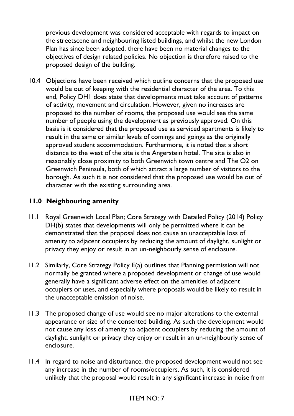previous development was considered acceptable with regards to impact on the streetscene and neighbouring listed buildings, and whilst the new London Plan has since been adopted, there have been no material changes to the objectives of design related policies. No objection is therefore raised to the proposed design of the building.

10.4 Objections have been received which outline concerns that the proposed use would be out of keeping with the residential character of the area. To this end, Policy DH1 does state that developments must take account of patterns of activity, movement and circulation. However, given no increases are proposed to the number of rooms, the proposed use would see the same number of people using the development as previously approved. On this basis is it considered that the proposed use as serviced apartments is likely to result in the same or similar levels of comings and goings as the originally approved student accommodation. Furthermore, it is noted that a short distance to the west of the site is the Angerstein hotel. The site is also in reasonably close proximity to both Greenwich town centre and The O2 on Greenwich Peninsula, both of which attract a large number of visitors to the borough. As such it is not considered that the proposed use would be out of character with the existing surrounding area.

## **11.0 Neighbouring amenity**

- 11.1 Royal Greenwich Local Plan; Core Strategy with Detailed Policy (2014) Policy DH(b) states that developments will only be permitted where it can be demonstrated that the proposal does not cause an unacceptable loss of amenity to adjacent occupiers by reducing the amount of daylight, sunlight or privacy they enjoy or result in an un-neighbourly sense of enclosure.
- 11.2 Similarly, Core Strategy Policy E(a) outlines that Planning permission will not normally be granted where a proposed development or change of use would generally have a significant adverse effect on the amenities of adjacent occupiers or uses, and especially where proposals would be likely to result in the unacceptable emission of noise.
- 11.3 The proposed change of use would see no major alterations to the external appearance or size of the consented building. As such the development would not cause any loss of amenity to adjacent occupiers by reducing the amount of daylight, sunlight or privacy they enjoy or result in an un-neighbourly sense of enclosure.
- 11.4 In regard to noise and disturbance, the proposed development would not see any increase in the number of rooms/occupiers. As such, it is considered unlikely that the proposal would result in any significant increase in noise from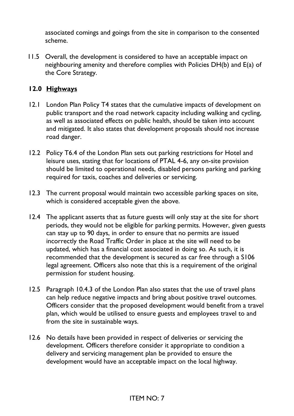associated comings and goings from the site in comparison to the consented scheme.

11.5 Overall, the development is considered to have an acceptable impact on neighbouring amenity and therefore complies with Policies DH(b) and E(a) of the Core Strategy.

# **12.0 Highways**

- 12.1 London Plan Policy T4 states that the cumulative impacts of development on public transport and the road network capacity including walking and cycling, as well as associated effects on public health, should be taken into account and mitigated. It also states that development proposals should not increase road danger.
- 12.2 Policy T6.4 of the London Plan sets out parking restrictions for Hotel and leisure uses, stating that for locations of PTAL 4-6, any on-site provision should be limited to operational needs, disabled persons parking and parking required for taxis, coaches and deliveries or servicing.
- 12.3 The current proposal would maintain two accessible parking spaces on site, which is considered acceptable given the above.
- 12.4 The applicant asserts that as future guests will only stay at the site for short periods, they would not be eligible for parking permits. However, given guests can stay up to 90 days, in order to ensure that no permits are issued incorrectly the Road Traffic Order in place at the site will need to be updated, which has a financial cost associated in doing so. As such, it is recommended that the development is secured as car free through a S106 legal agreement. Officers also note that this is a requirement of the original permission for student housing.
- 12.5 Paragraph 10.4.3 of the London Plan also states that the use of travel plans can help reduce negative impacts and bring about positive travel outcomes. Officers consider that the proposed development would benefit from a travel plan, which would be utilised to ensure guests and employees travel to and from the site in sustainable ways.
- 12.6 No details have been provided in respect of deliveries or servicing the development. Officers therefore consider it appropriate to condition a delivery and servicing management plan be provided to ensure the development would have an acceptable impact on the local highway.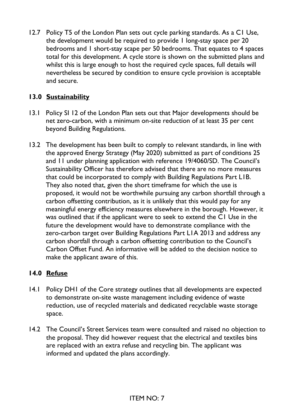12.7 Policy T5 of the London Plan sets out cycle parking standards. As a C1 Use, the development would be required to provide 1 long-stay space per 20 bedrooms and 1 short-stay scape per 50 bedrooms. That equates to 4 spaces total for this development. A cycle store is shown on the submitted plans and whilst this is large enough to host the required cycle spaces, full details will nevertheless be secured by condition to ensure cycle provision is acceptable and secure.

# **13.0 Sustainability**

- 13.1 Policy SI 12 of the London Plan sets out that Major developments should be net zero-carbon, with a minimum on-site reduction of at least 35 per cent beyond Building Regulations.
- 13.2 The development has been built to comply to relevant standards, in line with the approved Energy Strategy (May 2020) submitted as part of conditions 25 and 11 under planning application with reference 19/4060/SD. The Council's Sustainability Officer has therefore advised that there are no more measures that could be incorporated to comply with Building Regulations Part L1B. They also noted that, given the short timeframe for which the use is proposed, it would not be worthwhile pursuing any carbon shortfall through a carbon offsetting contribution, as it is unlikely that this would pay for any meaningful energy efficiency measures elsewhere in the borough. However, it was outlined that if the applicant were to seek to extend the C1 Use in the future the development would have to demonstrate compliance with the zero-carbon target over Building Regulations Part L1A 2013 and address any carbon shortfall through a carbon offsetting contribution to the Council's Carbon Offset Fund. An informative will be added to the decision notice to make the applicant aware of this.

# **14.0 Refuse**

- 14.1 Policy DH1 of the Core strategy outlines that all developments are expected to demonstrate on-site waste management including evidence of waste reduction, use of recycled materials and dedicated recyclable waste storage space.
- 14.2 The Council's Street Services team were consulted and raised no objection to the proposal. They did however request that the electrical and textiles bins are replaced with an extra refuse and recycling bin. The applicant was informed and updated the plans accordingly.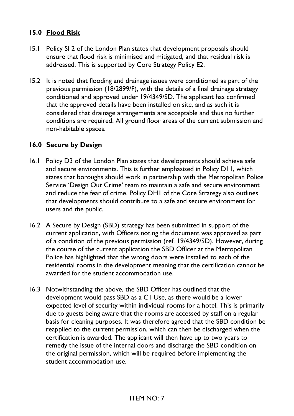## **15.0 Flood Risk**

- 15.1 Policy SI 2 of the London Plan states that development proposals should ensure that flood risk is minimised and mitigated, and that residual risk is addressed. This is supported by Core Strategy Policy E2.
- 15.2 It is noted that flooding and drainage issues were conditioned as part of the previous permission (18/2899/F), with the details of a final drainage strategy conditioned and approved under 19/4349/SD. The applicant has confirmed that the approved details have been installed on site, and as such it is considered that drainage arrangements are acceptable and thus no further conditions are required. All ground floor areas of the current submission and non-habitable spaces.

## **16.0 Secure by Design**

- 16.1 Policy D3 of the London Plan states that developments should achieve safe and secure environments. This is further emphasised in Policy D11, which states that boroughs should work in partnership with the Metropolitan Police Service 'Design Out Crime' team to maintain a safe and secure environment and reduce the fear of crime. Policy DH1 of the Core Strategy also outlines that developments should contribute to a safe and secure environment for users and the public.
- 16.2 A Secure by Design (SBD) strategy has been submitted in support of the current application, with Officers noting the document was approved as part of a condition of the previous permission (ref. 19/4349/SD). However, during the course of the current application the SBD Officer at the Metropolitan Police has highlighted that the wrong doors were installed to each of the residential rooms in the development meaning that the certification cannot be awarded for the student accommodation use.
- 16.3 Notwithstanding the above, the SBD Officer has outlined that the development would pass SBD as a C1 Use, as there would be a lower expected level of security within individual rooms for a hotel. This is primarily due to guests being aware that the rooms are accessed by staff on a regular basis for cleaning purposes. It was therefore agreed that the SBD condition be reapplied to the current permission, which can then be discharged when the certification is awarded. The applicant will then have up to two years to remedy the issue of the internal doors and discharge the SBD condition on the original permission, which will be required before implementing the student accommodation use.